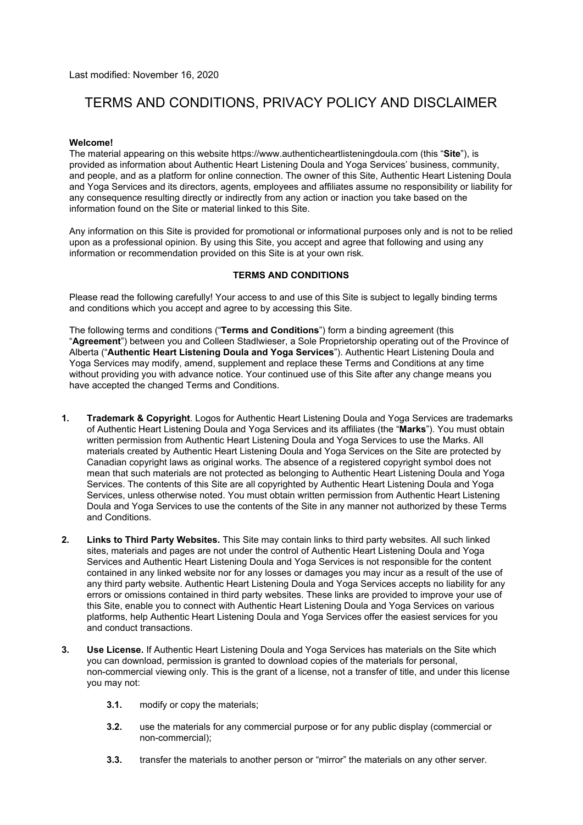Last modified: November 16, 2020

# TERMS AND CONDITIONS, PRIVACY POLICY AND DISCLAIMER

# **Welcome!**

The material appearing on this website https://www.authenticheartlisteningdoula.com (this "**Site**"), is provided as information about Authentic Heart Listening Doula and Yoga Services' business, community, and people, and as a platform for online connection. The owner of this Site, Authentic Heart Listening Doula and Yoga Services and its directors, agents, employees and affiliates assume no responsibility or liability for any consequence resulting directly or indirectly from any action or inaction you take based on the information found on the Site or material linked to this Site.

Any information on this Site is provided for promotional or informational purposes only and is not to be relied upon as a professional opinion. By using this Site, you accept and agree that following and using any information or recommendation provided on this Site is at your own risk.

# **TERMS AND CONDITIONS**

Please read the following carefully! Your access to and use of this Site is subject to legally binding terms and conditions which you accept and agree to by accessing this Site.

The following terms and conditions ("**Terms and Conditions**") form a binding agreement (this "**Agreement**") between you and Colleen Stadlwieser, a Sole Proprietorship operating out of the Province of Alberta ("**Authentic Heart Listening Doula and Yoga Services**"). Authentic Heart Listening Doula and Yoga Services may modify, amend, supplement and replace these Terms and Conditions at any time without providing you with advance notice. Your continued use of this Site after any change means you have accepted the changed Terms and Conditions.

- **1. Trademark & Copyright**. Logos for Authentic Heart Listening Doula and Yoga Services are trademarks of Authentic Heart Listening Doula and Yoga Services and its affiliates (the "**Marks**"). You must obtain written permission from Authentic Heart Listening Doula and Yoga Services to use the Marks. All materials created by Authentic Heart Listening Doula and Yoga Services on the Site are protected by Canadian copyright laws as original works. The absence of a registered copyright symbol does not mean that such materials are not protected as belonging to Authentic Heart Listening Doula and Yoga Services. The contents of this Site are all copyrighted by Authentic Heart Listening Doula and Yoga Services, unless otherwise noted. You must obtain written permission from Authentic Heart Listening Doula and Yoga Services to use the contents of the Site in any manner not authorized by these Terms and Conditions.
- **2. Links to Third Party Websites.** This Site may contain links to third party websites. All such linked sites, materials and pages are not under the control of Authentic Heart Listening Doula and Yoga Services and Authentic Heart Listening Doula and Yoga Services is not responsible for the content contained in any linked website nor for any losses or damages you may incur as a result of the use of any third party website. Authentic Heart Listening Doula and Yoga Services accepts no liability for any errors or omissions contained in third party websites. These links are provided to improve your use of this Site, enable you to connect with Authentic Heart Listening Doula and Yoga Services on various platforms, help Authentic Heart Listening Doula and Yoga Services offer the easiest services for you and conduct transactions.
- **3. Use License.** If Authentic Heart Listening Doula and Yoga Services has materials on the Site which you can download, permission is granted to download copies of the materials for personal, non-commercial viewing only. This is the grant of a license, not a transfer of title, and under this license you may not:
	- **3.1.** modify or copy the materials;
	- **3.2.** use the materials for any commercial purpose or for any public display (commercial or non-commercial);
	- **3.3.** transfer the materials to another person or "mirror" the materials on any other server.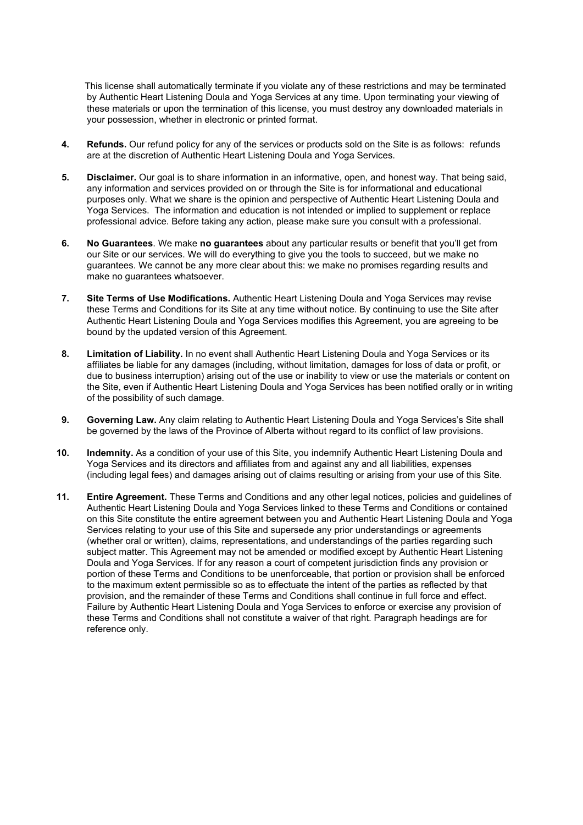This license shall automatically terminate if you violate any of these restrictions and may be terminated by Authentic Heart Listening Doula and Yoga Services at any time. Upon terminating your viewing of these materials or upon the termination of this license, you must destroy any downloaded materials in your possession, whether in electronic or printed format.

- **4. Refunds.** Our refund policy for any of the services or products sold on the Site is as follows: refunds are at the discretion of Authentic Heart Listening Doula and Yoga Services.
- **5. Disclaimer.** Our goal is to share information in an informative, open, and honest way. That being said, any information and services provided on or through the Site is for informational and educational purposes only. What we share is the opinion and perspective of Authentic Heart Listening Doula and Yoga Services. The information and education is not intended or implied to supplement or replace professional advice. Before taking any action, please make sure you consult with a professional.
- **6. No Guarantees**. We make **no guarantees** about any particular results or benefit that you'll get from our Site or our services. We will do everything to give you the tools to succeed, but we make no guarantees. We cannot be any more clear about this: we make no promises regarding results and make no guarantees whatsoever.
- **7. Site Terms of Use Modifications.** Authentic Heart Listening Doula and Yoga Services may revise these Terms and Conditions for its Site at any time without notice. By continuing to use the Site after Authentic Heart Listening Doula and Yoga Services modifies this Agreement, you are agreeing to be bound by the updated version of this Agreement.
- **8. Limitation of Liability.** In no event shall Authentic Heart Listening Doula and Yoga Services or its affiliates be liable for any damages (including, without limitation, damages for loss of data or profit, or due to business interruption) arising out of the use or inability to view or use the materials or content on the Site, even if Authentic Heart Listening Doula and Yoga Services has been notified orally or in writing of the possibility of such damage.
- **9. Governing Law.** Any claim relating to Authentic Heart Listening Doula and Yoga Services's Site shall be governed by the laws of the Province of Alberta without regard to its conflict of law provisions.
- **10. Indemnity.** As a condition of your use of this Site, you indemnify Authentic Heart Listening Doula and Yoga Services and its directors and affiliates from and against any and all liabilities, expenses (including legal fees) and damages arising out of claims resulting or arising from your use of this Site.
- **11. Entire Agreement.** These Terms and Conditions and any other legal notices, policies and guidelines of Authentic Heart Listening Doula and Yoga Services linked to these Terms and Conditions or contained on this Site constitute the entire agreement between you and Authentic Heart Listening Doula and Yoga Services relating to your use of this Site and supersede any prior understandings or agreements (whether oral or written), claims, representations, and understandings of the parties regarding such subject matter. This Agreement may not be amended or modified except by Authentic Heart Listening Doula and Yoga Services. If for any reason a court of competent jurisdiction finds any provision or portion of these Terms and Conditions to be unenforceable, that portion or provision shall be enforced to the maximum extent permissible so as to effectuate the intent of the parties as reflected by that provision, and the remainder of these Terms and Conditions shall continue in full force and effect. Failure by Authentic Heart Listening Doula and Yoga Services to enforce or exercise any provision of these Terms and Conditions shall not constitute a waiver of that right. Paragraph headings are for reference only.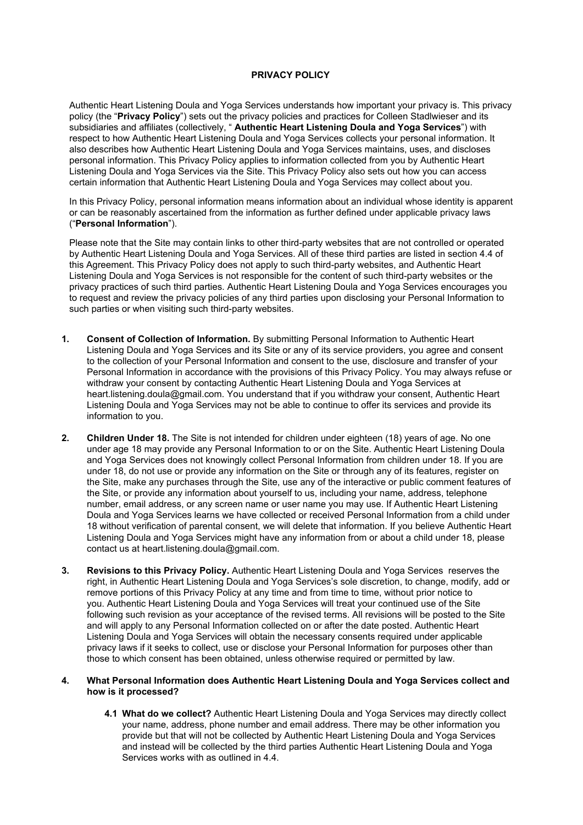#### **PRIVACY POLICY**

Authentic Heart Listening Doula and Yoga Services understands how important your privacy is. This privacy policy (the "**Privacy Policy**") sets out the privacy policies and practices for Colleen Stadlwieser and its subsidiaries and affiliates (collectively, " **Authentic Heart Listening Doula and Yoga Services**") with respect to how Authentic Heart Listening Doula and Yoga Services collects your personal information. It also describes how Authentic Heart Listening Doula and Yoga Services maintains, uses, and discloses personal information. This Privacy Policy applies to information collected from you by Authentic Heart Listening Doula and Yoga Services via the Site. This Privacy Policy also sets out how you can access certain information that Authentic Heart Listening Doula and Yoga Services may collect about you.

In this Privacy Policy, personal information means information about an individual whose identity is apparent or can be reasonably ascertained from the information as further defined under applicable privacy laws ("**Personal Information**").

Please note that the Site may contain links to other third-party websites that are not controlled or operated by Authentic Heart Listening Doula and Yoga Services. All of these third parties are listed in section 4.4 of this Agreement. This Privacy Policy does not apply to such third-party websites, and Authentic Heart Listening Doula and Yoga Services is not responsible for the content of such third-party websites or the privacy practices of such third parties. Authentic Heart Listening Doula and Yoga Services encourages you to request and review the privacy policies of any third parties upon disclosing your Personal Information to such parties or when visiting such third-party websites.

- **1. Consent of Collection of Information.** By submitting Personal Information to Authentic Heart Listening Doula and Yoga Services and its Site or any of its service providers, you agree and consent to the collection of your Personal Information and consent to the use, disclosure and transfer of your Personal Information in accordance with the provisions of this Privacy Policy. You may always refuse or withdraw your consent by contacting Authentic Heart Listening Doula and Yoga Services at heart.listening.doula@gmail.com. You understand that if you withdraw your consent, Authentic Heart Listening Doula and Yoga Services may not be able to continue to offer its services and provide its information to you.
- **2. Children Under 18.** The Site is not intended for children under eighteen (18) years of age. No one under age 18 may provide any Personal Information to or on the Site. Authentic Heart Listening Doula and Yoga Services does not knowingly collect Personal Information from children under 18. If you are under 18, do not use or provide any information on the Site or through any of its features, register on the Site, make any purchases through the Site, use any of the interactive or public comment features of the Site, or provide any information about yourself to us, including your name, address, telephone number, email address, or any screen name or user name you may use. If Authentic Heart Listening Doula and Yoga Services learns we have collected or received Personal Information from a child under 18 without verification of parental consent, we will delete that information. If you believe Authentic Heart Listening Doula and Yoga Services might have any information from or about a child under 18, please contact us at heart.listening.doula@gmail.com.
- **3. Revisions to this Privacy Policy.** Authentic Heart Listening Doula and Yoga Services reserves the right, in Authentic Heart Listening Doula and Yoga Services's sole discretion, to change, modify, add or remove portions of this Privacy Policy at any time and from time to time, without prior notice to you. Authentic Heart Listening Doula and Yoga Services will treat your continued use of the Site following such revision as your acceptance of the revised terms. All revisions will be posted to the Site and will apply to any Personal Information collected on or after the date posted. Authentic Heart Listening Doula and Yoga Services will obtain the necessary consents required under applicable privacy laws if it seeks to collect, use or disclose your Personal Information for purposes other than those to which consent has been obtained, unless otherwise required or permitted by law.

# **4. What Personal Information does Authentic Heart Listening Doula and Yoga Services collect and how is it processed?**

**4.1 What do we collect?** Authentic Heart Listening Doula and Yoga Services may directly collect your name, address, phone number and email address. There may be other information you provide but that will not be collected by Authentic Heart Listening Doula and Yoga Services and instead will be collected by the third parties Authentic Heart Listening Doula and Yoga Services works with as outlined in 4.4.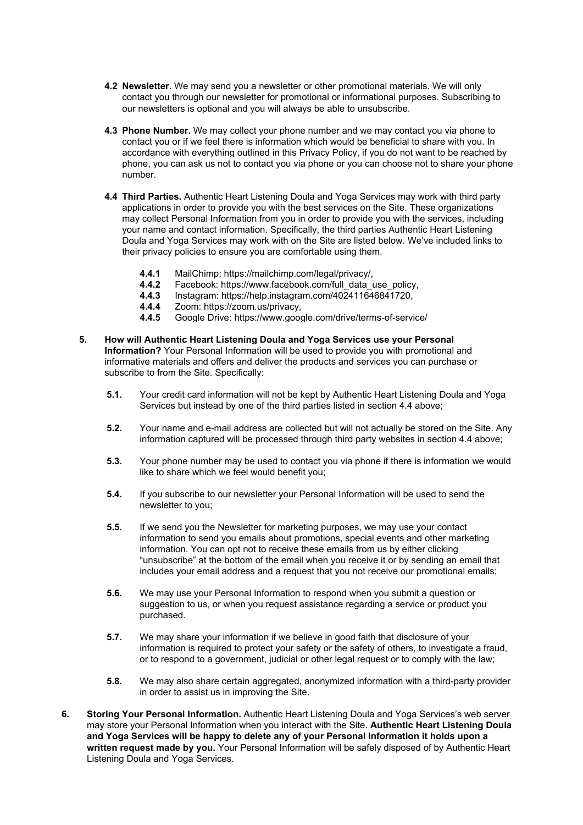- **4.2 Newsletter.** We may send you a newsletter or other promotional materials. We will only contact you through our newsletter for promotional or informational purposes. Subscribing to our newsletters is optional and you will always be able to unsubscribe.
- **4.3 Phone Number.** We may collect your phone number and we may contact you via phone to contact you or if we feel there is information which would be beneficial to share with you. In accordance with everything outlined in this Privacy Policy, if you do not want to be reached by phone, you can ask us not to contact you via phone or you can choose not to share your phone number.
- **4.4 Third Parties.** Authentic Heart Listening Doula and Yoga Services may work with third party applications in order to provide you with the best services on the Site. These organizations may collect Personal Information from you in order to provide you with the services, including your name and contact information. Specifically, the third parties Authentic Heart Listening Doula and Yoga Services may work with on the Site are listed below. We've included links to their privacy policies to ensure you are comfortable using them.
	- **4.4.1** MailChimp: https://mailchimp.com/legal/privacy/,
	- **4.4.2** Facebook: https://www.facebook.com/full\_data\_use\_policy,
	- **4.4.3** Instagram: https://help.instagram.com/402411646841720,
	- **4.4.4** Zoom: https://zoom.us/privacy,
	- **4.4.5** Google Drive: https://www.google.com/drive/terms-of-service/
- **5. How will Authentic Heart Listening Doula and Yoga Services use your Personal Information?** Your Personal Information will be used to provide you with promotional and informative materials and offers and deliver the products and services you can purchase or subscribe to from the Site. Specifically:
	- **5.1.** Your credit card information will not be kept by Authentic Heart Listening Doula and Yoga Services but instead by one of the third parties listed in section 4.4 above;
	- **5.2.** Your name and e-mail address are collected but will not actually be stored on the Site. Any information captured will be processed through third party websites in section 4.4 above;
	- **5.3.** Your phone number may be used to contact you via phone if there is information we would like to share which we feel would benefit you;
	- **5.4.** If you subscribe to our newsletter your Personal Information will be used to send the newsletter to you;
	- **5.5.** If we send you the Newsletter for marketing purposes, we may use your contact information to send you emails about promotions, special events and other marketing information. You can opt not to receive these emails from us by either clicking "unsubscribe" at the bottom of the email when you receive it or by sending an email that includes your email address and a request that you not receive our promotional emails;
	- **5.6.** We may use your Personal Information to respond when you submit a question or suggestion to us, or when you request assistance regarding a service or product you purchased.
	- **5.7.** We may share your information if we believe in good faith that disclosure of your information is required to protect your safety or the safety of others, to investigate a fraud, or to respond to a government, judicial or other legal request or to comply with the law;
	- **5.8.** We may also share certain aggregated, anonymized information with a third-party provider in order to assist us in improving the Site.
- **6. Storing Your Personal Information.** Authentic Heart Listening Doula and Yoga Services's web server may store your Personal Information when you interact with the Site. **Authentic Heart Listening Doula and Yoga Services will be happy to delete any of your Personal Information it holds upon a written request made by you.** Your Personal Information will be safely disposed of by Authentic Heart Listening Doula and Yoga Services.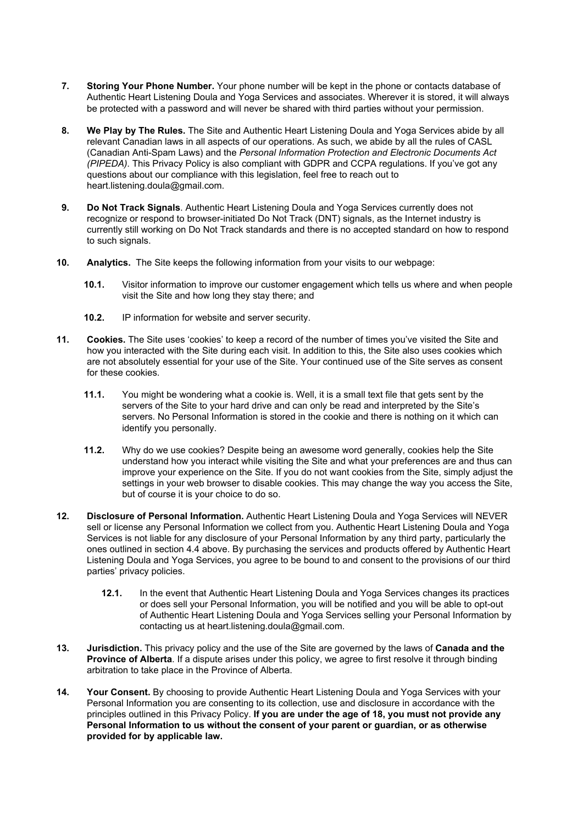- **7. Storing Your Phone Number.** Your phone number will be kept in the phone or contacts database of Authentic Heart Listening Doula and Yoga Services and associates. Wherever it is stored, it will always be protected with a password and will never be shared with third parties without your permission.
- **8. We Play by The Rules.** The Site and Authentic Heart Listening Doula and Yoga Services abide by all relevant Canadian laws in all aspects of our operations. As such, we abide by all the rules of CASL (Canadian Anti-Spam Laws) and the *Personal Information Protection and Electronic Documents Act (PIPEDA)*. This Privacy Policy is also compliant with GDPR and CCPA regulations. If you've got any questions about our compliance with this legislation, feel free to reach out to heart.listening.doula@gmail.com.
- **9. Do Not Track Signals**. Authentic Heart Listening Doula and Yoga Services currently does not recognize or respond to browser-initiated Do Not Track (DNT) signals, as the Internet industry is currently still working on Do Not Track standards and there is no accepted standard on how to respond to such signals.
- **10. Analytics.** The Site keeps the following information from your visits to our webpage:
	- **10.1.** Visitor information to improve our customer engagement which tells us where and when people visit the Site and how long they stay there; and
	- **10.2.** IP information for website and server security.
- **11. Cookies.** The Site uses 'cookies' to keep a record of the number of times you've visited the Site and how you interacted with the Site during each visit. In addition to this, the Site also uses cookies which are not absolutely essential for your use of the Site. Your continued use of the Site serves as consent for these cookies.
	- **11.1.** You might be wondering what a cookie is. Well, it is a small text file that gets sent by the servers of the Site to your hard drive and can only be read and interpreted by the Site's servers. No Personal Information is stored in the cookie and there is nothing on it which can identify you personally.
	- **11.2.** Why do we use cookies? Despite being an awesome word generally, cookies help the Site understand how you interact while visiting the Site and what your preferences are and thus can improve your experience on the Site. If you do not want cookies from the Site, simply adjust the settings in your web browser to disable cookies. This may change the way you access the Site, but of course it is your choice to do so.
- **12. Disclosure of Personal Information.** Authentic Heart Listening Doula and Yoga Services will NEVER sell or license any Personal Information we collect from you. Authentic Heart Listening Doula and Yoga Services is not liable for any disclosure of your Personal Information by any third party, particularly the ones outlined in section 4.4 above. By purchasing the services and products offered by Authentic Heart Listening Doula and Yoga Services, you agree to be bound to and consent to the provisions of our third parties' privacy policies.
	- **12.1.** In the event that Authentic Heart Listening Doula and Yoga Services changes its practices or does sell your Personal Information, you will be notified and you will be able to opt-out of Authentic Heart Listening Doula and Yoga Services selling your Personal Information by contacting us at heart.listening.doula@gmail.com.
- **13. Jurisdiction.** This privacy policy and the use of the Site are governed by the laws of **Canada and the Province of Alberta**. If a dispute arises under this policy, we agree to first resolve it through binding arbitration to take place in the Province of Alberta.
- **14. Your Consent.** By choosing to provide Authentic Heart Listening Doula and Yoga Services with your Personal Information you are consenting to its collection, use and disclosure in accordance with the principles outlined in this Privacy Policy. **If you are under the age of 18, you must not provide any Personal Information to us without the consent of your parent or guardian, or as otherwise provided for by applicable law.**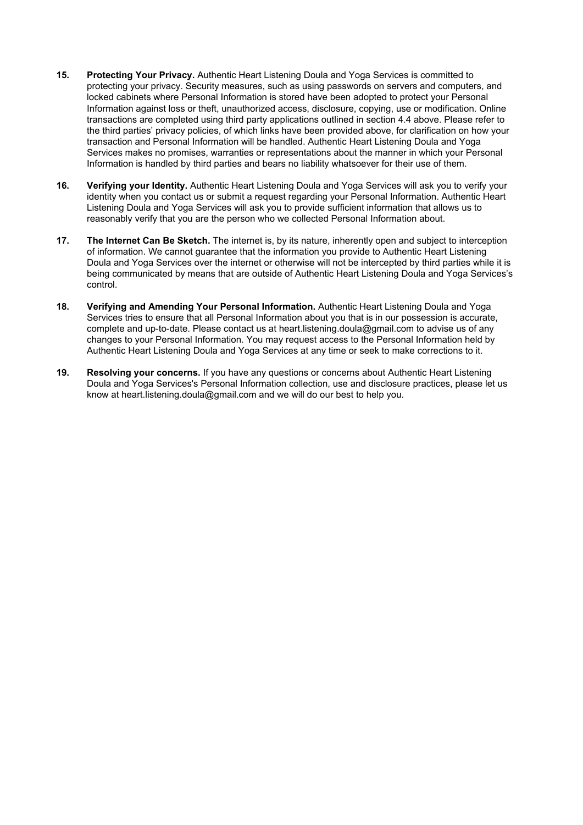- **15. Protecting Your Privacy.** Authentic Heart Listening Doula and Yoga Services is committed to protecting your privacy. Security measures, such as using passwords on servers and computers, and locked cabinets where Personal Information is stored have been adopted to protect your Personal Information against loss or theft, unauthorized access, disclosure, copying, use or modification. Online transactions are completed using third party applications outlined in section 4.4 above. Please refer to the third parties' privacy policies, of which links have been provided above, for clarification on how your transaction and Personal Information will be handled. Authentic Heart Listening Doula and Yoga Services makes no promises, warranties or representations about the manner in which your Personal Information is handled by third parties and bears no liability whatsoever for their use of them.
- **16. Verifying your Identity.** Authentic Heart Listening Doula and Yoga Services will ask you to verify your identity when you contact us or submit a request regarding your Personal Information. Authentic Heart Listening Doula and Yoga Services will ask you to provide sufficient information that allows us to reasonably verify that you are the person who we collected Personal Information about.
- **17. The Internet Can Be Sketch.** The internet is, by its nature, inherently open and subject to interception of information. We cannot guarantee that the information you provide to Authentic Heart Listening Doula and Yoga Services over the internet or otherwise will not be intercepted by third parties while it is being communicated by means that are outside of Authentic Heart Listening Doula and Yoga Services's control.
- **18. Verifying and Amending Your Personal Information.** Authentic Heart Listening Doula and Yoga Services tries to ensure that all Personal Information about you that is in our possession is accurate, complete and up-to-date. Please contact us at heart.listening.doula@gmail.com to advise us of any changes to your Personal Information. You may request access to the Personal Information held by Authentic Heart Listening Doula and Yoga Services at any time or seek to make corrections to it.
- **19. Resolving your concerns.** If you have any questions or concerns about Authentic Heart Listening Doula and Yoga Services's Personal Information collection, use and disclosure practices, please let us know at heart.listening.doula@gmail.com and we will do our best to help you.